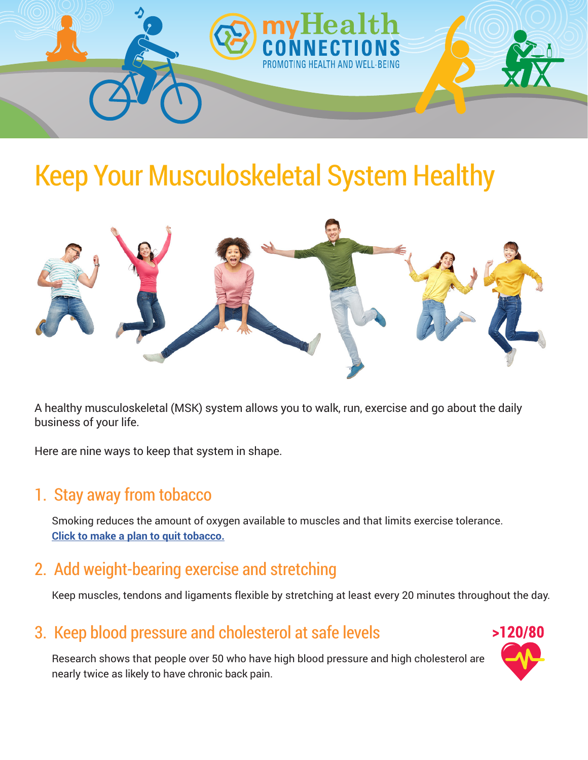

## Keep Your Musculoskeletal System Healthy



A healthy musculoskeletal (MSK) system allows you to walk, run, exercise and go about the daily business of your life.

Here are nine ways to keep that system in shape.

#### 1. Stay away from tobacco

Smoking reduces the amount of oxygen available to muscles and that limits exercise tolerance. **[Click to make a plan to quit tobacco.](https://www.cancer.org/healthy/stay-away-from-tobacco/guide-quitting-smoking.html)**

#### 2. Add weight-bearing exercise and stretching

Keep muscles, tendons and ligaments flexible by stretching at least every 20 minutes throughout the day.

#### 3. Keep blood pressure and cholesterol at safe levels

Research shows that people over 50 who have high blood pressure and high cholesterol are nearly twice as likely to have chronic back pain.

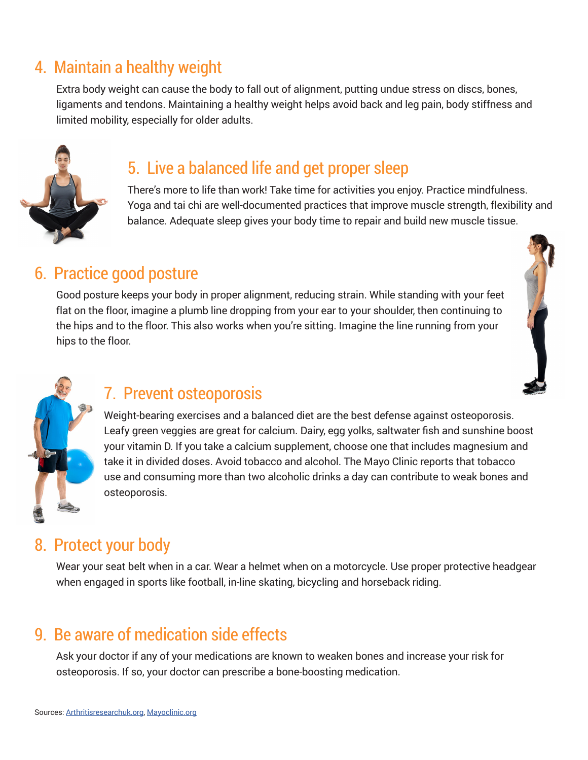#### 4. Maintain a healthy weight

Extra body weight can cause the body to fall out of alignment, putting undue stress on discs, bones, ligaments and tendons. Maintaining a healthy weight helps avoid back and leg pain, body stiffness and limited mobility, especially for older adults.



#### 5. Live a balanced life and get proper sleep

There's more to life than work! Take time for activities you enjoy. Practice mindfulness. Yoga and tai chi are well-documented practices that improve muscle strength, flexibility and balance. Adequate sleep gives your body time to repair and build new muscle tissue.

#### 6. Practice good posture

Good posture keeps your body in proper alignment, reducing strain. While standing with your feet flat on the floor, imagine a plumb line dropping from your ear to your shoulder, then continuing to the hips and to the floor. This also works when you're sitting. Imagine the line running from your hips to the floor.





#### 7. Prevent osteoporosis

Weight-bearing exercises and a balanced diet are the best defense against osteoporosis. Leafy green veggies are great for calcium. Dairy, egg yolks, saltwater fish and sunshine boost your vitamin D. If you take a calcium supplement, choose one that includes magnesium and take it in divided doses. Avoid tobacco and alcohol. The Mayo Clinic reports that tobacco use and consuming more than two alcoholic drinks a day can contribute to weak bones and osteoporosis.

#### 8. Protect your body

Wear your seat belt when in a car. Wear a helmet when on a motorcycle. Use proper protective headgear when engaged in sports like football, in-line skating, bicycling and horseback riding.

#### 9. Be aware of medication side effects

Ask your doctor if any of your medications are known to weaken bones and increase your risk for osteoporosis. If so, your doctor can prescribe a bone-boosting medication.